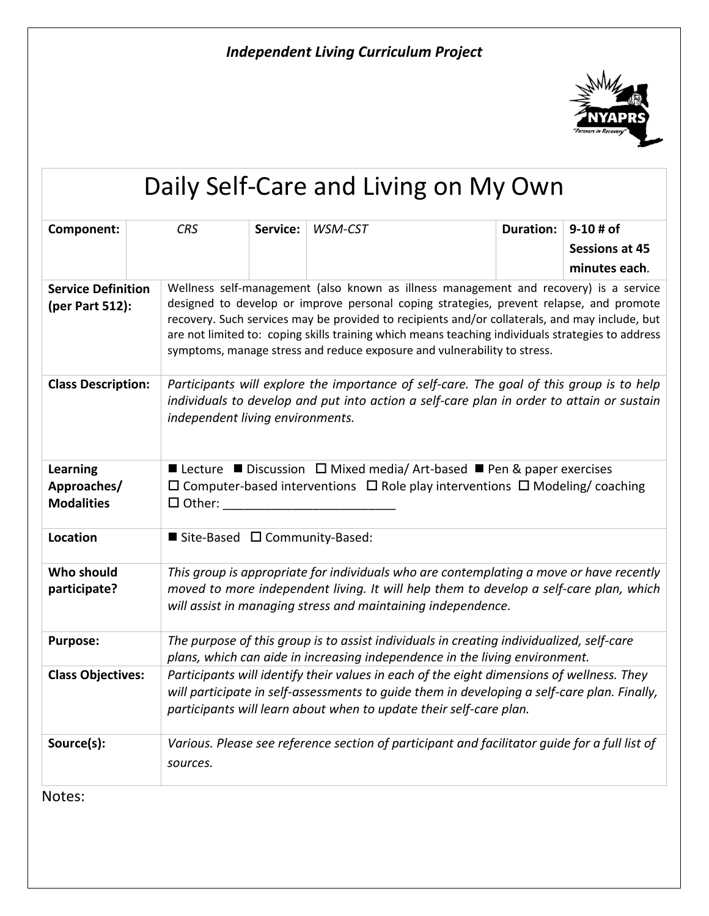

## Daily Self-Care and Living on My Own **Component:** *CRS* **Service:** *WSM-CST* **Duration:** 9-10 # of **Sessions at 45 minutes each***.* **Service Definition (per Part 512):** Wellness self-management (also known as illness management and recovery) is a service designed to develop or improve personal coping strategies, prevent relapse, and promote recovery. Such services may be provided to recipients and/or collaterals, and may include, but are not limited to: coping skills training which means teaching individuals strategies to address symptoms, manage stress and reduce exposure and vulnerability to stress. **Class Description:** *Participants will explore the importance of self-care. The goal of this group is to help individuals to develop and put into action a self-care plan in order to attain or sustain independent living environments.*  **Learning Approaches/ Modalities ■** Lecture ■ Discussion  $\Box$  Mixed media/ Art-based ■ Pen & paper exercises  $\Box$  Computer-based interventions  $\Box$  Role play interventions  $\Box$  Modeling/ coaching  $\square$  Other: Location **■** Site-Based □ Community-Based: **Who should participate?** *This group is appropriate for individuals who are contemplating a move or have recently moved to more independent living. It will help them to develop a self-care plan, which will assist in managing stress and maintaining independence.* **Purpose:** *The purpose of this group is to assist individuals in creating individualized, self-care plans, which can aide in increasing independence in the living environment.* **Class Objectives:** *Participants will identify their values in each of the eight dimensions of wellness. They will participate in self-assessments to guide them in developing a self-care plan. Finally, participants will learn about when to update their self-care plan.* **Source(s):** *Various. Please see reference section of participant and facilitator guide for a full list of sources.*

Notes: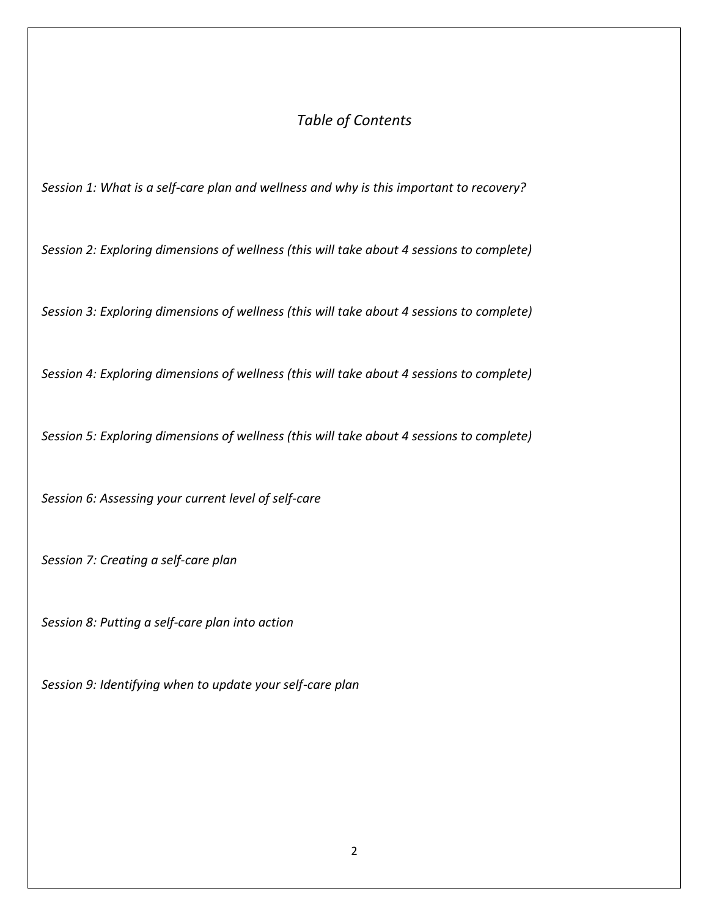## *Table of Contents*

*Session 1: What is a self-care plan and wellness and why is this important to recovery?*

*Session 2: Exploring dimensions of wellness (this will take about 4 sessions to complete)*

*Session 3: Exploring dimensions of wellness (this will take about 4 sessions to complete)*

*Session 4: Exploring dimensions of wellness (this will take about 4 sessions to complete)*

*Session 5: Exploring dimensions of wellness (this will take about 4 sessions to complete)*

*Session 6: Assessing your current level of self-care*

*Session 7: Creating a self-care plan*

*Session 8: Putting a self-care plan into action*

*Session 9: Identifying when to update your self-care plan*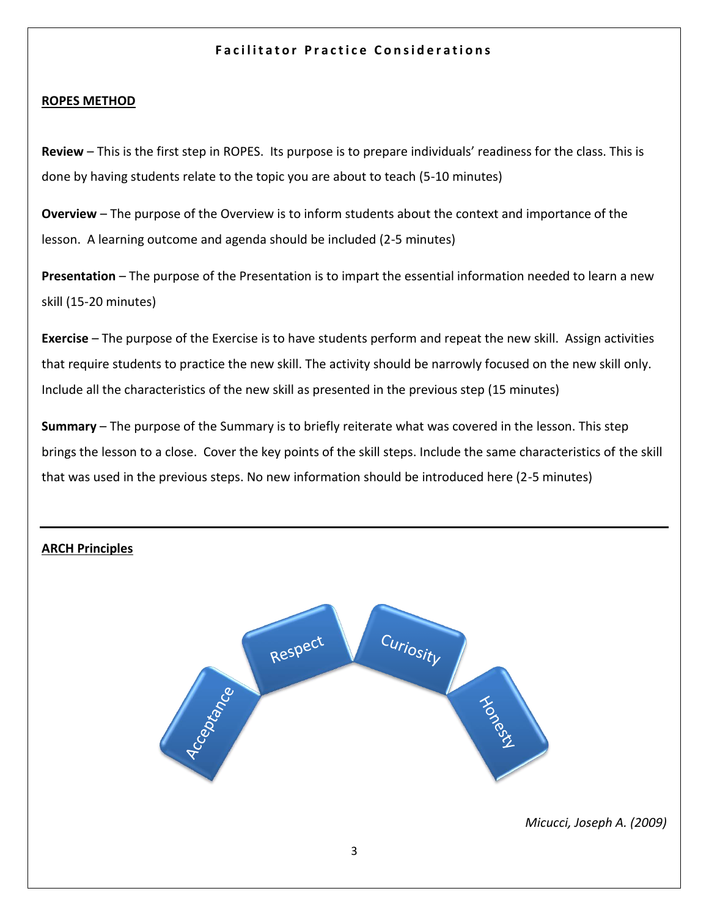## **Facilitator Practice Considerations**

## **ROPES METHOD**

**Review** – This is the first step in ROPES. Its purpose is to prepare individuals' readiness for the class. This is done by having students relate to the topic you are about to teach (5-10 minutes)

**Overview** – The purpose of the Overview is to inform students about the context and importance of the lesson. A learning outcome and agenda should be included (2-5 minutes)

**Presentation** – The purpose of the Presentation is to impart the essential information needed to learn a new skill (15-20 minutes)

**Exercise** – The purpose of the Exercise is to have students perform and repeat the new skill. Assign activities that require students to practice the new skill. The activity should be narrowly focused on the new skill only. Include all the characteristics of the new skill as presented in the previous step (15 minutes)

**Summary** – The purpose of the Summary is to briefly reiterate what was covered in the lesson. This step brings the lesson to a close. Cover the key points of the skill steps. Include the same characteristics of the skill that was used in the previous steps. No new information should be introduced here (2-5 minutes)